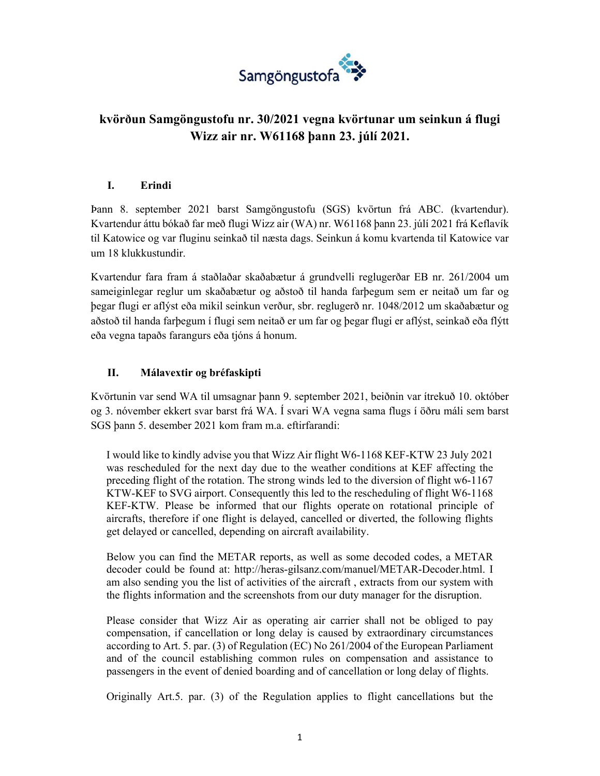

# **kvörðun Samgöngustofu nr. 30/2021 vegna kvörtunar um seinkun á flugi Wizz air nr. W61168 þann 23. júlí 2021.**

### **I. Erindi**

Þann 8. september 2021 barst Samgöngustofu (SGS) kvörtun frá ABC. (kvartendur). Kvartendur áttu bókað far með flugi Wizz air (WA) nr. W61168 þann 23. júlí 2021 frá Keflavík til Katowice og var fluginu seinkað til næsta dags. Seinkun á komu kvartenda til Katowice var um 18 klukkustundir.

Kvartendur fara fram á staðlaðar skaðabætur á grundvelli reglugerðar EB nr. 261/2004 um sameiginlegar reglur um skaðabætur og aðstoð til handa farþegum sem er neitað um far og þegar flugi er aflýst eða mikil seinkun verður, sbr. reglugerð nr. 1048/2012 um skaðabætur og aðstoð til handa farþegum í flugi sem neitað er um far og þegar flugi er aflýst, seinkað eða flýtt eða vegna tapaðs farangurs eða tjóns á honum.

## **II. Málavextir og bréfaskipti**

Kvörtunin var send WA til umsagnar þann 9. september 2021, beiðnin var ítrekuð 10. október og 3. nóvember ekkert svar barst frá WA. Í svari WA vegna sama flugs í öðru máli sem barst SGS þann 5. desember 2021 kom fram m.a. eftirfarandi:

I would like to kindly advise you that Wizz Air flight W6-1168 KEF-KTW 23 July 2021 was rescheduled for the next day due to the weather conditions at KEF affecting the preceding flight of the rotation. The strong winds led to the diversion of flight w6-1167 KTW-KEF to SVG airport. Consequently this led to the rescheduling of flight W6-1168 KEF-KTW. Please be informed that our flights operate on rotational principle of aircrafts, therefore if one flight is delayed, cancelled or diverted, the following flights get delayed or cancelled, depending on aircraft availability.

Below you can find the METAR reports, as well as some decoded codes, a METAR decoder could be found at: http://heras-gilsanz.com/manuel/METAR-Decoder.html. I am also sending you the list of activities of the aircraft , extracts from our system with the flights information and the screenshots from our duty manager for the disruption.

Please consider that Wizz Air as operating air carrier shall not be obliged to pay compensation, if cancellation or long delay is caused by extraordinary circumstances according to Art. 5. par. (3) of Regulation (EC) No 261/2004 of the European Parliament and of the council establishing common rules on compensation and assistance to passengers in the event of denied boarding and of cancellation or long delay of flights.

Originally Art.5. par. (3) of the Regulation applies to flight cancellations but the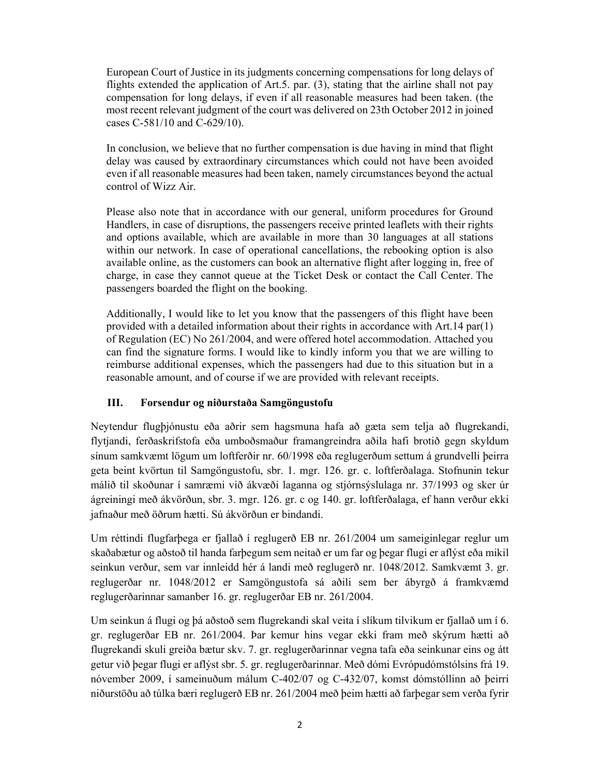European Court of Justice in its judgments concerning compensations for long delays of flights extended the application of Art.5. par. (3), stating that the airline shall not pay compensation for long delays, if even if all reasonable measures had been taken. (the most recent relevant judgment of the court was delivered on 23th October 2012 in joined cases C-581/10 and C-629/10).

In conclusion, we believe that no further compensation is due having in mind that flight delay was caused by extraordinary circumstances which could not have been avoided even if all reasonable measures had been taken, namely circumstances beyond the actual control of Wizz Air.

Please also note that in accordance with our general, uniform procedures for Ground Handlers, in case of disruptions, the passengers receive printed leaflets with their rights and options available, which are available in more than 30 languages at all stations within our network. In case of operational cancellations, the rebooking option is also available online, as the customers can book an alternative flight after logging in, free of charge, in case they cannot queue at the Ticket Desk or contact the Call Center. The passengers boarded the flight on the booking.

Additionally, I would like to let you know that the passengers of this flight have been provided with a detailed information about their rights in accordance with Art.14 par(1) of Regulation (EC) No 261/2004, and were offered hotel accommodation. Attached you can find the signature forms. I would like to kindly inform you that we are willing to reimburse additional expenses, which the passengers had due to this situation but in a reasonable amount, and of course if we are provided with relevant receipts.

#### **III. Forsendur og niðurstaða Samgöngustofu**

Neytendur flugþjónustu eða aðrir sem hagsmuna hafa að gæta sem telja að flugrekandi, flytjandi, ferðaskrifstofa eða umboðsmaður framangreindra aðila hafi brotið gegn skyldum sínum samkvæmt lögum um loftferðir nr. 60/1998 eða reglugerðum settum á grundvelli þeirra geta beint kvörtun til Samgöngustofu, sbr. 1. mgr. 126. gr. c. loftferðalaga. Stofnunin tekur málið til skoðunar í samræmi við ákvæði laganna og stjórnsýslulaga nr. 37/1993 og sker úr ágreiningi með ákvörðun, sbr. 3. mgr. 126. gr. c og 140. gr. loftferðalaga, ef hann verður ekki jafnaður með öðrum hætti. Sú ákvörðun er bindandi.

Um réttindi flugfarþega er fjallað í reglugerð EB nr. 261/2004 um sameiginlegar reglur um skaðabætur og aðstoð til handa farþegum sem neitað er um far og þegar flugi er aflýst eða mikil seinkun verður, sem var innleidd hér á landi með reglugerð nr. 1048/2012. Samkvæmt 3. gr. reglugerðar nr. 1048/2012 er Samgöngustofa sá aðili sem ber ábyrgð á framkvæmd reglugerðarinnar samanber 16. gr. reglugerðar EB nr. 261/2004.

Um seinkun á flugi og þá aðstoð sem flugrekandi skal veita í slíkum tilvikum er fjallað um í 6. gr. reglugerðar EB nr. 261/2004. Þar kemur hins vegar ekki fram með skýrum hætti að flugrekandi skuli greiða bætur skv. 7. gr. reglugerðarinnar vegna tafa eða seinkunar eins og átt getur við þegar flugi er aflýst sbr. 5. gr. reglugerðarinnar. Með dómi Evrópudómstólsins frá 19. nóvember 2009, í sameinuðum málum C-402/07 og C-432/07, komst dómstóllinn að þeirri niðurstöðu að túlka bæri reglugerð EB nr. 261/2004 með þeim hætti að farþegar sem verða fyrir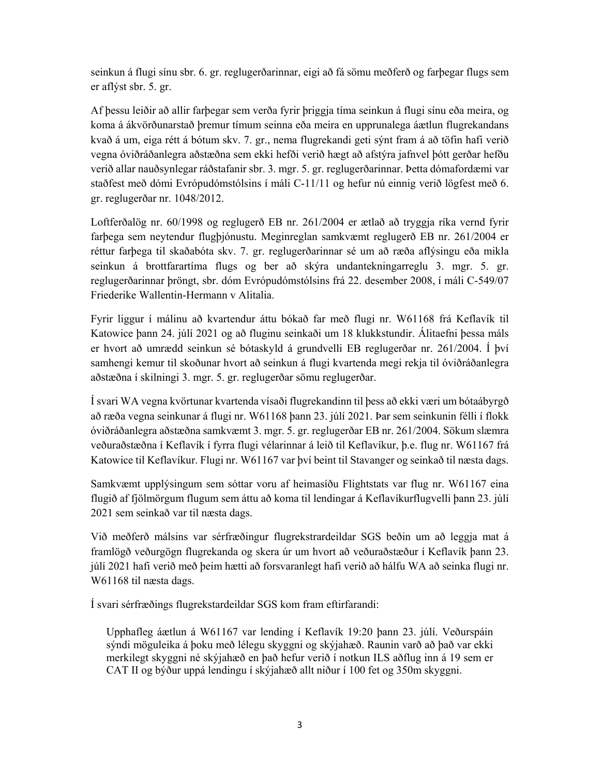seinkun á flugi sínu sbr. 6. gr. reglugerðarinnar, eigi að fá sömu meðferð og farþegar flugs sem er aflýst sbr. 5. gr.

Af þessu leiðir að allir farþegar sem verða fyrir þriggja tíma seinkun á flugi sínu eða meira, og koma á ákvörðunarstað þremur tímum seinna eða meira en upprunalega áætlun flugrekandans kvað á um, eiga rétt á bótum skv. 7. gr., nema flugrekandi geti sýnt fram á að töfin hafi verið vegna óviðráðanlegra aðstæðna sem ekki hefði verið hægt að afstýra jafnvel þótt gerðar hefðu verið allar nauðsynlegar ráðstafanir sbr. 3. mgr. 5. gr. reglugerðarinnar. Þetta dómafordæmi var staðfest með dómi Evrópudómstólsins í máli C-11/11 og hefur nú einnig verið lögfest með 6. gr. reglugerðar nr. 1048/2012.

Loftferðalög nr. 60/1998 og reglugerð EB nr. 261/2004 er ætlað að tryggja ríka vernd fyrir farþega sem neytendur flugþjónustu. Meginreglan samkvæmt reglugerð EB nr. 261/2004 er réttur farþega til skaðabóta skv. 7. gr. reglugerðarinnar sé um að ræða aflýsingu eða mikla seinkun á brottfarartíma flugs og ber að skýra undantekningarreglu 3. mgr. 5. gr. reglugerðarinnar þröngt, sbr. dóm Evrópudómstólsins frá 22. desember 2008, í máli C-549/07 Friederike Wallentin-Hermann v Alitalia.

Fyrir liggur í málinu að kvartendur áttu bókað far með flugi nr. W61168 frá Keflavík til Katowice þann 24. júlí 2021 og að fluginu seinkaði um 18 klukkstundir. Álitaefni þessa máls er hvort að umrædd seinkun sé bótaskyld á grundvelli EB reglugerðar nr. 261/2004. Í því samhengi kemur til skoðunar hvort að seinkun á flugi kvartenda megi rekja til óviðráðanlegra aðstæðna í skilningi 3. mgr. 5. gr. reglugerðar sömu reglugerðar.

Í svari WA vegna kvörtunar kvartenda vísaði flugrekandinn til þess að ekki væri um bótaábyrgð að ræða vegna seinkunar á flugi nr. W61168 þann 23. júlí 2021. Þar sem seinkunin félli í flokk óviðráðanlegra aðstæðna samkvæmt 3. mgr. 5. gr. reglugerðar EB nr. 261/2004. Sökum slæmra veðuraðstæðna í Keflavík í fyrra flugi vélarinnar á leið til Keflavíkur, þ.e. flug nr. W61167 frá Katowice til Keflavíkur. Flugi nr. W61167 var því beint til Stavanger og seinkað til næsta dags.

Samkvæmt upplýsingum sem sóttar voru af heimasíðu Flightstats var flug nr. W61167 eina flugið af fjölmörgum flugum sem áttu að koma til lendingar á Keflavíkurflugvelli þann 23. júlí 2021 sem seinkað var til næsta dags.

Við meðferð málsins var sérfræðingur flugrekstrardeildar SGS beðin um að leggja mat á framlögð veðurgögn flugrekanda og skera úr um hvort að veðuraðstæður í Keflavík þann 23. júlí 2021 hafi verið með þeim hætti að forsvaranlegt hafi verið að hálfu WA að seinka flugi nr. W61168 til næsta dags.

Í svari sérfræðings flugrekstardeildar SGS kom fram eftirfarandi:

Upphafleg áætlun á W61167 var lending í Keflavík 19:20 þann 23. júlí. Veðurspáin sýndi möguleika á þoku með lélegu skyggni og skýjahæð. Raunin varð að það var ekki merkilegt skyggni né skýjahæð en það hefur verið í notkun ILS aðflug inn á 19 sem er CAT II og býður uppá lendingu í skýjahæð allt niður í 100 fet og 350m skyggni.